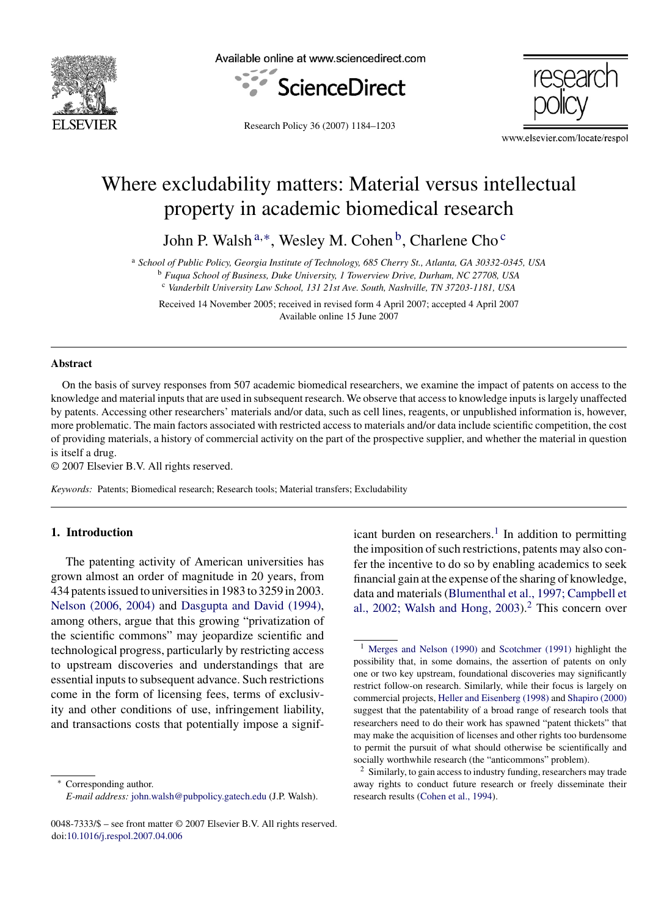

Available online at www.sciencedirect.com



Research Policy 36 (2007) 1184–1203



www.elsevier.com/locate/respol

## Where excludability matters: Material versus intellectual property in academic biomedical research

John P. Walsh<sup>a,\*</sup>, Wesley M. Cohen<sup>b</sup>, Charlene Cho<sup>c</sup>

<sup>a</sup> *School of Public Policy, Georgia Institute of Technology, 685 Cherry St., Atlanta, GA 30332-0345, USA* <sup>b</sup> *Fuqua School of Business, Duke University, 1 Towerview Drive, Durham, NC 27708, USA* <sup>c</sup> *Vanderbilt University Law School, 131 21st Ave. South, Nashville, TN 37203-1181, USA*

Received 14 November 2005; received in revised form 4 April 2007; accepted 4 April 2007 Available online 15 June 2007

#### **Abstract**

On the basis of survey responses from 507 academic biomedical researchers, we examine the impact of patents on access to the knowledge and material inputs that are used in subsequent research. We observe that access to knowledge inputs is largely unaffected by patents. Accessing other researchers' materials and/or data, such as cell lines, reagents, or unpublished information is, however, more problematic. The main factors associated with restricted access to materials and/or data include scientific competition, the cost of providing materials, a history of commercial activity on the part of the prospective supplier, and whether the material in question is itself a drug.

© 2007 Elsevier B.V. All rights reserved.

*Keywords:* Patents; Biomedical research; Research tools; Material transfers; Excludability

### **1. Introduction**

The patenting activity of American universities has grown almost an order of magnitude in 20 years, from 434 patents issued to universities in 1983 to 3259 in 2003. [Nelson \(2006, 2004\)](#page--1-0) and [Dasgupta and David \(1994\),](#page--1-0) among others, argue that this growing "privatization of the scientific commons" may jeopardize scientific and technological progress, particularly by restricting access to upstream discoveries and understandings that are essential inputs to subsequent advance. Such restrictions come in the form of licensing fees, terms of exclusivity and other conditions of use, infringement liability, and transactions costs that potentially impose a signif-

Corresponding author. *E-mail address:* [john.walsh@pubpolicy.gatech.edu](mailto:john.walsh@pubpolicy.gatech.edu) (J.P. Walsh). icant burden on researchers.<sup>1</sup> In addition to permitting the imposition of such restrictions, patents may also confer the incentive to do so by enabling academics to seek

financial gain at the expense of the sharing of knowledge, data and materials [\(Blumenthal et al., 1997; Campbell et](#page--1-0) al., 2002; Walsh and Hong,  $2003$ .<sup>2</sup> This concern over <sup>1</sup> [Merges and Nelson \(1990\)](#page--1-0) and [Scotchmer \(1991\)](#page--1-0) highlight the

possibility that, in some domains, the assertion of patents on only one or two key upstream, foundational discoveries may significantly restrict follow-on research. Similarly, while their focus is largely on commercial projects, [Heller and Eisenberg \(1998\)](#page--1-0) and [Shapiro \(2000\)](#page--1-0) suggest that the patentability of a broad range of research tools that researchers need to do their work has spawned "patent thickets" that may make the acquisition of licenses and other rights too burdensome to permit the pursuit of what should otherwise be scientifically and socially worthwhile research (the "anticommons" problem).

<sup>2</sup> Similarly, to gain access to industry funding, researchers may trade away rights to conduct future research or freely disseminate their research results [\(Cohen et al., 1994\).](#page--1-0)

<sup>0048-7333/\$ –</sup> see front matter © 2007 Elsevier B.V. All rights reserved. doi[:10.1016/j.respol.2007.04.006](dx.doi.org/10.1016/j.respol.2007.04.006)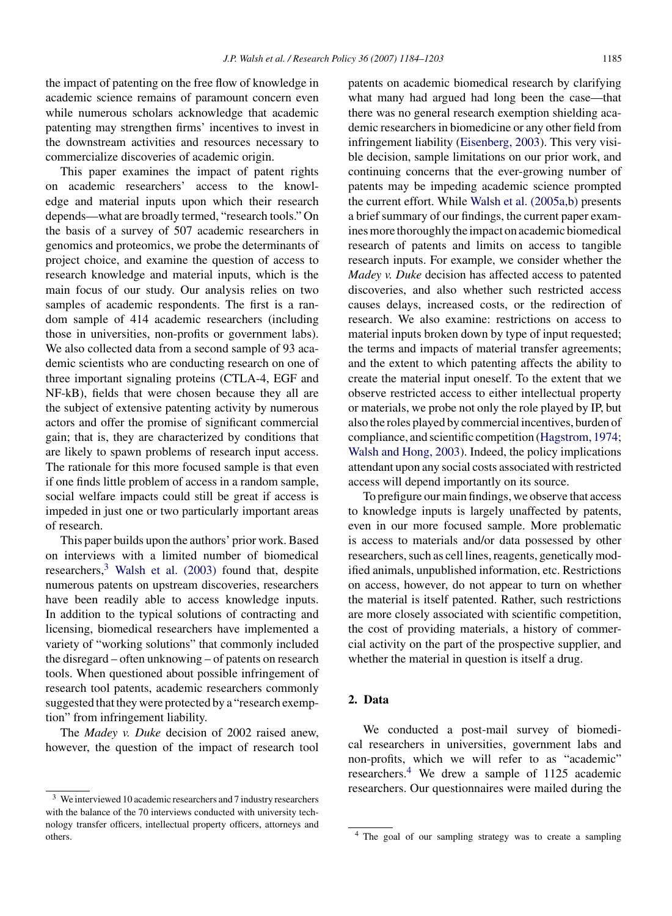the impact of patenting on the free flow of knowledge in academic science remains of paramount concern even while numerous scholars acknowledge that academic patenting may strengthen firms' incentives to invest in the downstream activities and resources necessary to commercialize discoveries of academic origin.

This paper examines the impact of patent rights on academic researchers' access to the knowledge and material inputs upon which their research depends—what are broadly termed, "research tools." On the basis of a survey of 507 academic researchers in genomics and proteomics, we probe the determinants of project choice, and examine the question of access to research knowledge and material inputs, which is the main focus of our study. Our analysis relies on two samples of academic respondents. The first is a random sample of 414 academic researchers (including those in universities, non-profits or government labs). We also collected data from a second sample of 93 academic scientists who are conducting research on one of three important signaling proteins (CTLA-4, EGF and NF-kB), fields that were chosen because they all are the subject of extensive patenting activity by numerous actors and offer the promise of significant commercial gain; that is, they are characterized by conditions that are likely to spawn problems of research input access. The rationale for this more focused sample is that even if one finds little problem of access in a random sample, social welfare impacts could still be great if access is impeded in just one or two particularly important areas of research.

This paper builds upon the authors' prior work. Based on interviews with a limited number of biomedical researchers, $3$  [Walsh et al. \(2003\)](#page--1-0) found that, despite numerous patents on upstream discoveries, researchers have been readily able to access knowledge inputs. In addition to the typical solutions of contracting and licensing, biomedical researchers have implemented a variety of "working solutions" that commonly included the disregard – often unknowing – of patents on research tools. When questioned about possible infringement of research tool patents, academic researchers commonly suggested that they were protected by a "research exemption" from infringement liability.

The *Madey v. Duke* decision of 2002 raised anew, however, the question of the impact of research tool

patents on academic biomedical research by clarifying what many had argued had long been the case—that there was no general research exemption shielding academic researchers in biomedicine or any other field from infringement liability ([Eisenberg, 2003\).](#page--1-0) This very visible decision, sample limitations on our prior work, and continuing concerns that the ever-growing number of patents may be impeding academic science prompted the current effort. While [Walsh et al. \(2005a,b\)](#page--1-0) presents a brief summary of our findings, the current paper examines more thoroughly the impact on academic biomedical research of patents and limits on access to tangible research inputs. For example, we consider whether the *Madey v. Duke* decision has affected access to patented discoveries, and also whether such restricted access causes delays, increased costs, or the redirection of research. We also examine: restrictions on access to material inputs broken down by type of input requested; the terms and impacts of material transfer agreements; and the extent to which patenting affects the ability to create the material input oneself. To the extent that we observe restricted access to either intellectual property or materials, we probe not only the role played by IP, but also the roles played by commercial incentives, burden of compliance, and scientific competition [\(Hagstrom, 1974;](#page--1-0) [Walsh and Hong, 2003\).](#page--1-0) Indeed, the policy implications attendant upon any social costs associated with restricted access will depend importantly on its source.

To prefigure our main findings, we observe that access to knowledge inputs is largely unaffected by patents, even in our more focused sample. More problematic is access to materials and/or data possessed by other researchers, such as cell lines, reagents, genetically modified animals, unpublished information, etc. Restrictions on access, however, do not appear to turn on whether the material is itself patented. Rather, such restrictions are more closely associated with scientific competition, the cost of providing materials, a history of commercial activity on the part of the prospective supplier, and whether the material in question is itself a drug.

#### **2. Data**

We conducted a post-mail survey of biomedical researchers in universities, government labs and non-profits, which we will refer to as "academic" researchers.<sup>4</sup> We drew a sample of 1125 academic researchers. Our questionnaires were mailed during the

<sup>3</sup> We interviewed 10 academic researchers and 7 industry researchers with the balance of the 70 interviews conducted with university technology transfer officers, intellectual property officers, attorneys and others.

<sup>4</sup> The goal of our sampling strategy was to create a sampling